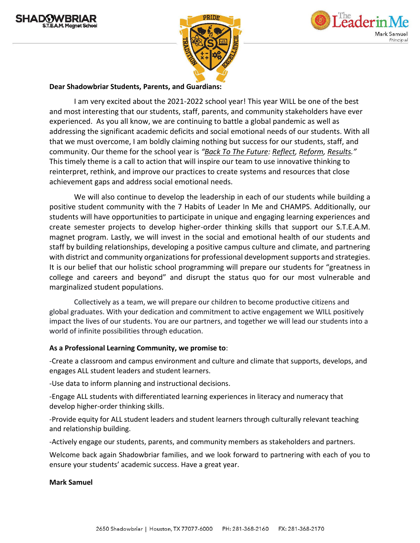





### **Dear Shadowbriar Students, Parents, and Guardians:**

I am very excited about the 2021-2022 school year! This year WILL be one of the best and most interesting that our students, staff, parents, and community stakeholders have ever experienced. As you all know, we are continuing to battle a global pandemic as well as addressing the significant academic deficits and social emotional needs of our students. With all that we must overcome, I am boldly claiming nothing but success for our students, staff, and community. Our theme for the school year is *"Back To The Future: Reflect, Reform, Results."* This timely theme is a call to action that will inspire our team to use innovative thinking to reinterpret, rethink, and improve our practices to create systems and resources that close achievement gaps and address social emotional needs.

We will also continue to develop the leadership in each of our students while building a positive student community with the 7 Habits of Leader In Me and CHAMPS. Additionally, our students will have opportunities to participate in unique and engaging learning experiences and create semester projects to develop higher-order thinking skills that support our S.T.E.A.M. magnet program. Lastly, we will invest in the social and emotional health of our students and staff by building relationships, developing a positive campus culture and climate, and partnering with district and community organizations for professional development supports and strategies. It is our belief that our holistic school programming will prepare our students for "greatness in college and careers and beyond" and disrupt the status quo for our most vulnerable and marginalized student populations.

Collectively as a team, we will prepare our children to become productive citizens and global graduates. With your dedication and commitment to active engagement we WILL positively impact the lives of our students. You are our partners, and together we will lead our students into a world of infinite possibilities through education.

## **As a Professional Learning Community, we promise to**:

-Create a classroom and campus environment and culture and climate that supports, develops, and engages ALL student leaders and student learners.

-Use data to inform planning and instructional decisions.

-Engage ALL students with differentiated learning experiences in literacy and numeracy that develop higher-order thinking skills.

-Provide equity for ALL student leaders and student learners through culturally relevant teaching and relationship building.

-Actively engage our students, parents, and community members as stakeholders and partners.

Welcome back again Shadowbriar families, and we look forward to partnering with each of you to ensure your students' academic success. Have a great year.

#### **Mark Samuel**